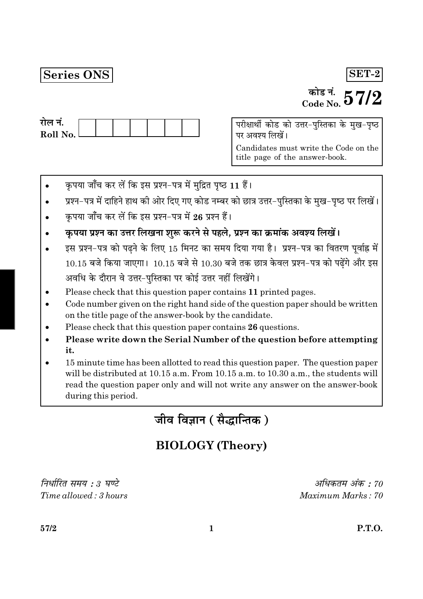# Series ONS

# $\overline{\text{SET-2}}$

# <sup>कोड नं.</sup>  $57/2$

| राल न.     |  |  |  |  |
|------------|--|--|--|--|
| Roll No. L |  |  |  |  |
|            |  |  |  |  |

परीक्षार्थी कोड को उत्तर-पुस्तिका के मुख-पृष्ठ पर अवश्य लिखें।

Candidates must write the Code on the title page of the answer-book.

- कृपया जाँच कर लें कि इस प्रश्न-पत्र में मुद्रित पृष्ठ 11 हैं।
- प्रश्न-पत्र में दाहिने हाथ की ओर दिए गए कोड नम्बर को छात्र उत्तर-पुस्तिका के मुख-पृष्ठ पर लिखें।
- कृपया जाँच कर लें कि इस प्रश्न-पत्र में 26 प्रश्न हैं।
- कृपया प्रश्न का उत्तर लिखना शुरू करने से पहले, प्रश्न का क्रमांक अवश्य लिखें।
- इस प्रश्न-पत्र को पढने के लिए 15 मिनट का समय दिया गया है। प्रश्न-पत्र का वितरण पूर्वाह्न में  $10.15$  बजे किया जाएगा।  $10.15$  बजे से  $10.30$  बजे तक छात्र केवल प्रश्न-पत्र को पढ़ेंगे और इस अवधि के दौरान वे उत्तर-पस्तिका पर कोई उत्तर नहीं लिखेंगे।
- Please check that this question paper contains 11 printed pages.
- Code number given on the right hand side of the question paper should be written on the title page of the answer-book by the candidate.
- Please check that this question paper contains 26 questions.
- Please write down the Serial Number of the question before attempting it.
- 15 minute time has been allotted to read this question paper. The question paper will be distributed at 10.15 a.m. From 10.15 a.m. to 10.30 a.m., the students will read the question paper only and will not write any answer on the answer-book during this period.

जीव विज्ञान (सैद्धान्तिक)

# **BIOLOGY** (Theory)

निर्धारित समय : ३ घण्टे  $Time allowed \cdot 3 hours$ 

अधिकतम अंक : 70  $Maximum$  Marks  $\cdot$  70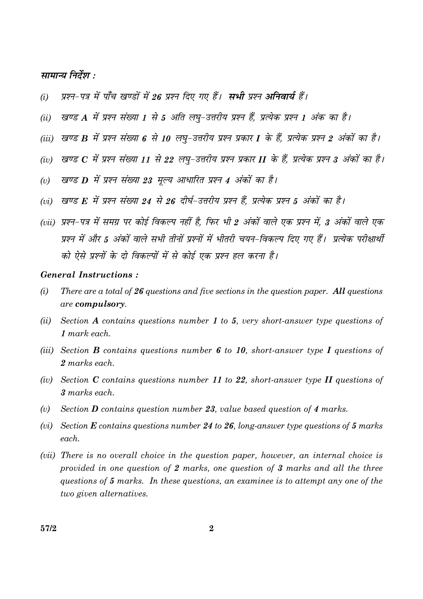## सामान्य निर्देश :

- प्रश्न-पत्र में पाँच खण्डों में 26 प्रश्न दिए गए हैं। सभी प्रश्न अनिवार्य हैं।  $(i)$
- खण्ड A में प्रश्न संख्या 1 से 5 अति लघू-उत्तरीय प्रश्न हैं, प्रत्येक प्रश्न 1 अंक का है।  $(ii)$
- (iii) खण्ड B में प्रश्न संख्या 6 से 10 लघु-उत्तरीय प्रश्न प्रकार I के हैं, प्रत्येक प्रश्न 2 अंकों का है।
- (iv) खण्ड  $C$  में प्रश्न संख्या 11 से 22 लघ-उत्तरीय प्रश्न प्रकार II के हैं, प्रत्येक प्रश्न 3 अंकों का है।
- खण्ड D में प्रश्न संख्या 23 मूल्य आधारित प्रश्न 4 अंकों का है।  $(v)$
- (vi) खण्ड F, में प्रश्न संख्या 24 से 26 दीर्घ-उत्तरीय प्रश्न हैं, प्रत्येक प्रश्न 5 अंकों का है।
- (vii) प्रश्न-पत्र में समग्र पर कोई विकल्प नहीं है. फिर भी 2 अंकों वाले एक प्रश्न में, 3 अंकों वाले एक प्रश्न में और 5 अंकों वाले सभी तीनों प्रश्नों में भीतरी चयन-विकल्प दिए गए हैं। प्रत्येक परीक्षार्थी को ऐसे प्रश्नों के दो विकल्पों में से कोई एक प्रश्न हल करना है।

#### **General Instructions:**

- $(i)$ There are a total of  $26$  questions and five sections in the question paper. All questions are compulsory.
- $(ii)$ Section A contains questions number 1 to 5, very short-answer type questions of  $1$  mark each.
- (iii) Section **B** contains questions number 6 to 10, short-answer type I questions of 2 marks each.
- (iv) Section C contains questions number 11 to 22, short-answer type II questions of 3 marks each.
- $(v)$ Section **D** contains question number 23, value based question of 4 marks.
- (vi) Section  $E$  contains questions number 24 to 26, long-answer type questions of 5 marks each.
- (*vii*) There is no overall choice in the question paper, however, an internal choice is provided in one question of 2 marks, one question of 3 marks and all the three questions of 5 marks. In these questions, an examinee is to attempt any one of the two given alternatives.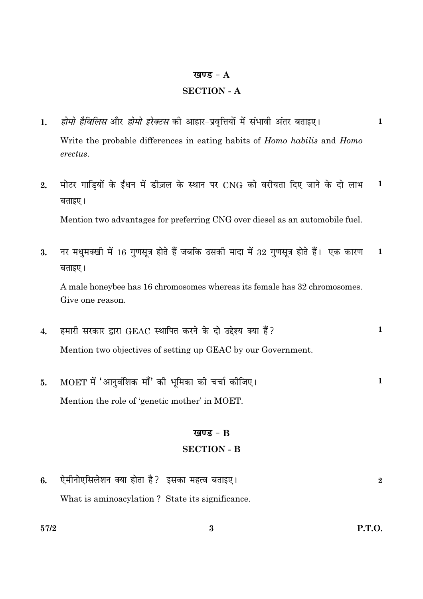#### खण्ड -  $A$

## **SECTION - A**

- होमो हैबिलिस और होमो इरेक्टस की आहार-प्रवृत्तियों में संभावी अंतर बताइए।  $\mathbf{1}$ . Write the probable differences in eating habits of *Homo habilis* and *Homo* erectus.
- मोटर गाडियों के ईंधन में डीज़ल के स्थान पर CNG को वरीयता दिए जाने के दो लाभ  $2.$  $\mathbf{1}$ बताइए।

Mention two advantages for preferring CNG over diesel as an automobile fuel.

नर मधुमक्खी में 16 गुणसूत्र होते हैं जबकि उसकी मादा में 32 गुणसूत्र होते हैं। एक कारण 3.  $\mathbf{1}$ बताइए।

A male honeybee has 16 chromosomes whereas its female has 32 chromosomes. Give one reason.

- हमारी सरकार द्वारा GEAC स्थापित करने के दो उद्देश्य क्या हैं?  $\mathbf{1}$  $\overline{4}$ . Mention two objectives of setting up GEAC by our Government.
- MOET में 'आनुवंशिक माँ' की भूमिका की चर्चा कीजिए।  $\mathbf{1}$ 5. Mention the role of 'genetic mother' in MOET.

#### खण्ड -  $B$

#### **SECTION - B**

ऐमीनोएसिलेशन क्या होता है? इसका महत्व बताइए। 6.  $\overline{2}$ What is aminoacylation? State its significance.

 $\mathbf{1}$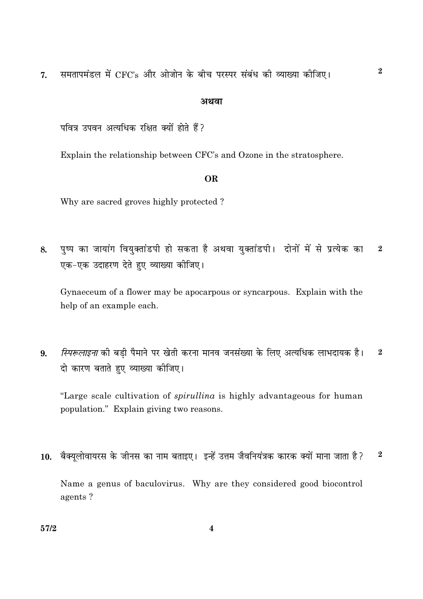समतापमंडल में CFC's और ओजोन के बीच परस्पर संबंध की व्याख्या कीजिए।  $\overline{7}$ .

#### अथवा

पवित्र उपवन अत्यधिक रक्षित क्यों होते हैं?

Explain the relationship between CFC's and Ozone in the stratosphere.

## **OR**

Why are sacred groves highly protected?

पुष्प का जायांग वियुक्तांडपी हो सकता है अथवा युक्तांडपी। दोनों में से प्रत्येक का  $\overline{2}$ 8. एक-एक उदाहरण देते हुए व्याख्या कीजिए।

Gynaeceum of a flower may be apocarpous or syncarpous. Explain with the help of an example each.

स्पिरूलाइना की बड़ी पैमाने पर खेती करना मानव जनसंख्या के लिए अत्यधिक लाभदायक है।  $\bf{2}$ 9. दो कारण बताते हुए व्याख्या कीजिए।

"Large scale cultivation of *spirullina* is highly advantageous for human population." Explain giving two reasons.

10. बैक्युलोवायरस के जीनस का नाम बताइए। इन्हें उत्तम जैवनियंत्रक कारक क्यों माना जाता है?  $\bf 2$ 

Name a genus of baculovirus. Why are they considered good biocontrol agents?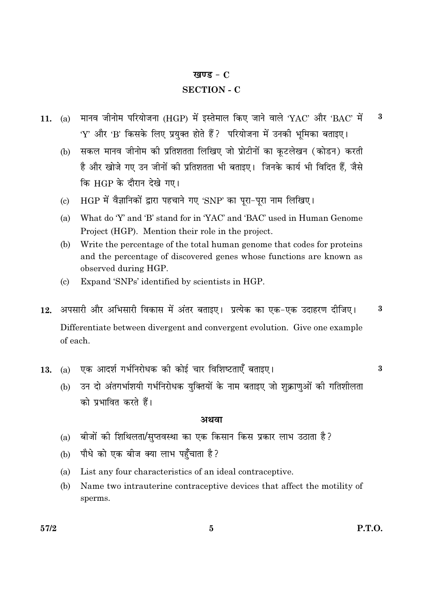#### खण्ड -  $C$

# **SECTION - C**

- मानव जीनोम परियोजना (HGP) में इस्तेमाल किए जाने वाले 'YAC' और 'BAC' में  $\bf{3}$ 11.  $(a)$ 'Y' और 'B' किसके लिए प्रयुक्त होते हैं ? परियोजना में उनकी भूमिका बताइए।
	- सकल मानव जीनोम की प्रतिशतता लिखिए जो प्रोटीनों का कुटलेखन (कोडन) करती  $(b)$ है और खोजे गए उन जीनों की प्रतिशतता भी बताइए। जिनके कार्य भी विदित हैं. जैसे कि HGP के दौरान देखे गए।
	- HGP में वैज्ञानिकों द्वारा पहचाने गए 'SNP' का पुरा-पुरा नाम लिखिए।  $\left( \mathrm{e}\right)$
	- What do 'Y' and 'B' stand for in 'YAC' and 'BAC' used in Human Genome (a) Project (HGP). Mention their role in the project.
	- (b) Write the percentage of the total human genome that codes for proteins and the percentage of discovered genes whose functions are known as observed during HGP.
	- Expand 'SNPs' identified by scientists in HGP.  $(c)$
- अपसारी और अभिसारी विकास में अंतर बताइए। प्रत्येक का एक-एक उदाहरण दीजिए।  $\bf{3}$ 12. Differentiate between divergent and convergent evolution. Give one example of each.
- एक आदर्श गर्भनिरोधक की कोई चार विशिष्टताएँ बताइए।  $(a)$ 13.

 $\bf{3}$ 

उन दो अंतगर्भाशयी गर्भनिरोधक युक्तियों के नाम बताइए जो शुक्राणुओं की गतिशीलता  $(b)$ को प्रभावित करते हैं।

#### अथवा

- बीजों की शिथिलता/सुप्तवस्था का एक किसान किस प्रकार लाभ उठाता है?  $(a)$
- पौधे को एक बीज क्या लाभ पहुँचाता है?  $(b)$
- List any four characteristics of an ideal contraceptive.  $(a)$
- Name two intrauterine contraceptive devices that affect the motility of (b) sperms.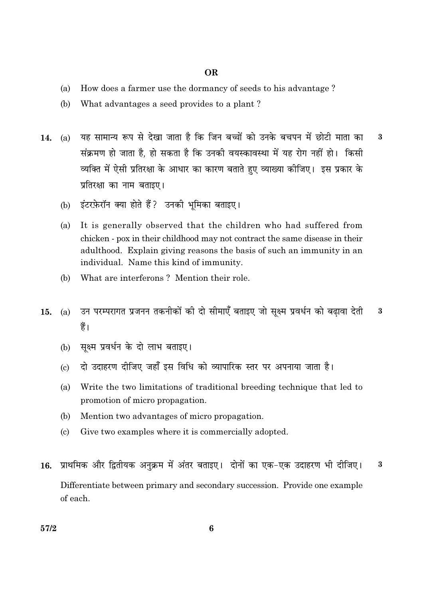#### **OR**

- How does a farmer use the dormancy of seeds to his advantage?  $(a)$
- $(b)$ What advantages a seed provides to a plant?
- यह सामान्य रूप से देखा जाता है कि जिन बच्चों को उनके बचपन में छोटी माता का  $\overline{\mathbf{3}}$  $(a)$  $14.$ संक्रमण हो जाता है. हो सकता है कि उनकी वयस्कावस्था में यह रोग नहीं हो। किसी व्यक्ति में ऐसी प्रतिरक्षा के आधार का कारण बताते हुए व्याख्या कोजिए। इस प्रकार के प्रतिरक्षा का नाम बताइए।
	- $(b)$ इंटरफ़ेरॉन क्या होते हैं ? उनकी भूमिका बताइए।
	- $(a)$ It is generally observed that the children who had suffered from chicken - pox in their childhood may not contract the same disease in their adulthood. Explain giving reasons the basis of such an immunity in an individual. Name this kind of immunity.
	- What are interferons? Mention their role. (b)
- उन परम्परागत प्रजनन तकनीकों की दो सीमाएँ बताइए जो सुक्ष्म प्रवर्धन को बढावा देती  $\bf{3}$ 15.  $(a)$ हैं।
	- सक्ष्म प्रवर्धन के दो लाभ बताइए।  $(b)$
	- दो उदाहरण दीजिए जहाँ इस विधि को व्यापारिक स्तर पर अपनाया जाता है।  $\left( \mathrm{c}\right)$
	- $(a)$ Write the two limitations of traditional breeding technique that led to promotion of micro propagation.
	- Mention two advantages of micro propagation. (b)
	- Give two examples where it is commercially adopted.  $\left( \mathrm{c}\right)$
- 16. प्राथमिक और द्वितीयक अनुक्रम में अंतर बताइए। दोनों का एक-एक उदाहरण भी दीजिए।  $\bf{3}$ Differentiate between primary and secondary succession. Provide one example of each.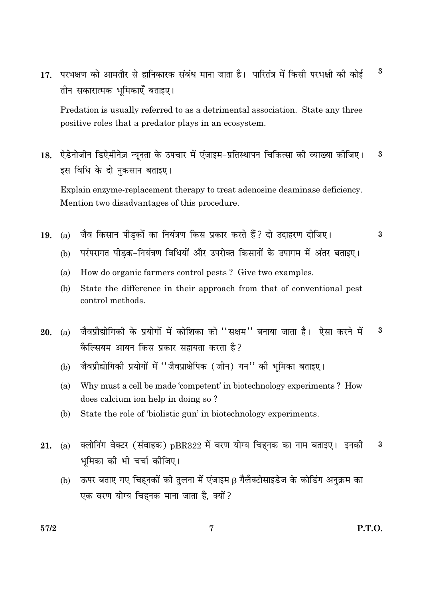$\bf{3}$ परभक्षण को आमतौर से हानिकारक संबंध माना जाता है। पारितंत्र में किसी परभक्षी की कोई  $17.$ तीन सकारात्मक भूमिकाएँ बताइए।

Predation is usually referred to as a detrimental association. State any three positive roles that a predator plays in an ecosystem.

ऐडेनोजीन डिऐमीनेज़ न्यनता के उपचार में एंजाइम-प्रतिस्थापन चिकित्सा की व्याख्या कीजिए। 18. 3 इस विधि के दो नकसान बताइए।

Explain enzyme-replacement therapy to treat adenosine deaminase deficiency. Mention two disadvantages of this procedure.

जैव किसान पीडकों का नियंत्रण किस प्रकार करते हैं? दो उदाहरण दीजिए। 19.  $(a)$ 

3

- परंपरागत पीडक-नियंत्रण विधियों और उपरोक्त किसानों के उपागम में अंतर बताइए।  $(h)$
- How do organic farmers control pests? Give two examples.  $(a)$
- (b) State the difference in their approach from that of conventional pest control methods.
- जैवप्रौद्योगिकी के प्रयोगों में कोशिका को "सक्षम" बनाया जाता है। ऐसा करने में  $\bf 3$ 20.  $(a)$ कैल्सियम आयन किस प्रकार सहायता करता है?
	- जैवप्रौद्योगिकी प्रयोगों में "जैवप्राक्षेपिक (जीन) गन" की भूमिका बताइए।  $(b)$
	- Why must a cell be made 'competent' in biotechnology experiments? How  $(a)$ does calcium ion help in doing so ?
	- $(b)$ State the role of 'biolistic gun' in biotechnology experiments.
- क्लोनिंग वेक्टर (संवाहक) pBR322 में वरण योग्य चिहनक का नाम बताइए। इनकी  $\bf{3}$ 21.  $(a)$ भूमिका की भी चर्चा कीजिए।
	- ऊपर बताए गए चिहनकों की तुलना में एंजाइम β गैलैक्टोसाइडेज के कोडिंग अनुक्रम का  $(b)$ एक वरण योग्य चिहनक माना जाता है, क्यों ?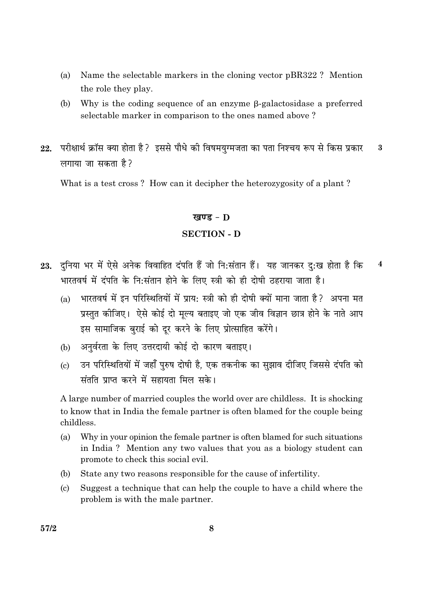- Name the selectable markers in the cloning vector pBR322? Mention (a) the role they play.
- (b) Why is the coding sequence of an enzyme  $\beta$ -galactosidase a preferred selectable marker in comparison to the ones named above?
- परीक्षार्थ क्रॉस क्या होता है ? इससे पौधे की विषमयुग्मजता का पता निश्चय रूप से किस प्रकार 22.  $\bf{3}$ लगाया जा सकता है?

What is a test cross? How can it decipher the heterozygosity of a plant?

#### खण्ड -  $D$

#### **SECTION - D**

- 23. दनिया भर में ऐसे अनेक विवाहित दंपति हैं जो नि:संतान हैं। यह जानकर द:ख होता है कि  $\overline{\mathbf{4}}$ भारतवर्ष में दंपति के नि:संतान होने के लिए स्त्री को ही दोषी ठहराया जाता है।
	- भारतवर्ष में इन परिस्थितियों में प्राय: स्त्री को ही दोषी क्यों माना जाता है? अपना मत  $(a)$ प्रस्तुत कीजिए। ऐसे कोई दो मूल्य बताइए जो एक जीव विज्ञान छात्र होने के नाते आप इस सामाजिक बुराई को दूर करने के लिए प्रोत्साहित करेंगे।
	- अनर्वरता के लिए उत्तरदायी कोई दो कारण बताइए।  $(b)$
	- उन परिस्थितियों में जहाँ परुष दोषी है. एक तकनीक का सझाव दीजिए जिससे दंपति को  $\epsilon$ संतति प्राप्त करने में सहायता मिल सके।

A large number of married couples the world over are childless. It is shocking to know that in India the female partner is often blamed for the couple being childless.

- (a) Why in your opinion the female partner is often blamed for such situations in India? Mention any two values that you as a biology student can promote to check this social evil.
- State any two reasons responsible for the cause of infertility. (b)
- $(c)$ Suggest a technique that can help the couple to have a child where the problem is with the male partner.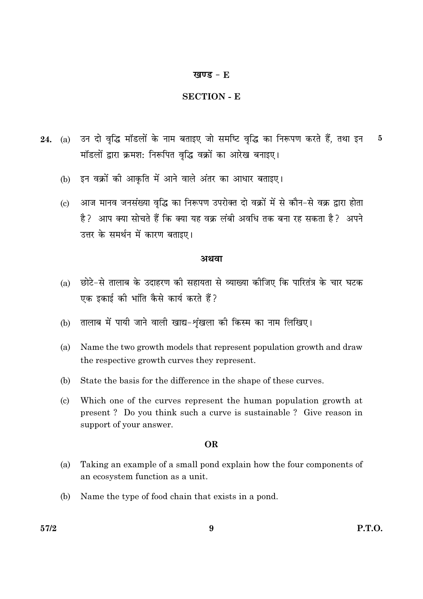#### खण्ड -  $E$

#### **SECTION - E**

- उन दो वृद्धि मॉडलों के नाम बताइए जो समष्टि वृद्धि का निरूपण करते हैं, तथा इन **24.** (a)  $\bf{5}$ मॉडलों द्वारा क्रमश: निरूपित वृद्धि वक्रों का आरेख बनाइए।
	- (b) इन वक्रों की आकृति में आने वाले अंतर का आधार बताइए।
	- आज मानव जनसंख्या वृद्धि का निरूपण उपरोक्त दो वक्रों में से कौन-से वक्र द्वारा होता  $\left( \mathrm{c}\right)$ है? आप क्या सोचते हैं कि क्या यह वक्र लंबी अवधि तक बना रह सकता है? अपने उत्तर के समर्थन में कारण बताइए।

#### अथवा

- छोटे-से तालाब के उदाहरण की सहायता से व्याख्या कीजिए कि पारितंत्र के चार घटक  $(a)$ एक इकाई की भांति कैसे कार्य करते हैं?
- तालाब में पायी जाने वाली खाद्य-शंखला की किस्म का नाम लिखिए।  $(b)$
- $(a)$ Name the two growth models that represent population growth and draw the respective growth curves they represent.
- (b) State the basis for the difference in the shape of these curves.
- $\left( \mathrm{e}\right)$ Which one of the curves represent the human population growth at present? Do you think such a curve is sustainable? Give reason in support of your answer.

#### **OR**

- $(a)$ Taking an example of a small pond explain how the four components of an ecosystem function as a unit.
- (b) Name the type of food chain that exists in a pond.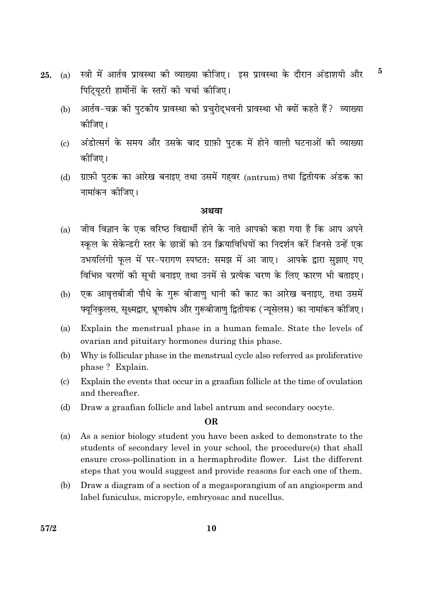- $\bf{5}$ स्त्री में आर्तव प्रावस्था की व्याख्या कीजिए। इस प्रावस्था के दौरान अंडाशयी और  $25.$  $(a)$ पिटियटरी हार्मोनों के स्तरों की चर्चा कीजिए।
	- आर्तव-चक्र की पुटकीय प्रावस्था को प्रचुरोद्भवनी प्रावस्था भी क्यों कहते हैं? व्याख्या  $(b)$ कोजिए।
	- अंडोत्सर्ग के समय और उसके बाद ग्राफ़ी पुटक में होने वाली घटनाओं की व्याख्या  $\left( \mathrm{c}\right)$ कीजिए।
	- ग्राफ़ी पुटक का आरेख बनाइए तथा उसमें गहवर (antrum) तथा द्वितीयक अंडक का  $(d)$ नामांकन कीजिए।

#### अथवा

- जीव विज्ञान के एक वरिष्ठ विद्यार्थी होने के नाते आपको कहा गया है कि आप अपने  $(a)$ स्कुल के सेकेन्डरी स्तर के छात्रों को उन क्रियाविधियों का निदर्शन करें जिनसे उन्हें एक उभयलिंगी फुल में पर-परागण स्पष्टत: समझ में आ जाए। आपके द्वारा सुझाए गए विभिन्न चरणों की सूची बनाइए तथा उनमें से प्रत्येक चरण के लिए कारण भी बताइए।
- एक आवत्तबीजी पौधे के गरू बीजाण धानी की काट का आरेख बनाइए, तथा उसमें  $(b)$ फ्यूनिकुलस, सूक्ष्मद्वार, भ्रूणकोष और गुरूबीजाणु द्वितीयक (न्यूसेलस) का नामांकन कीजिए।
- Explain the menstrual phase in a human female. State the levels of (a) ovarian and pituitary hormones during this phase.
- (b) Why is follicular phase in the menstrual cycle also referred as proliferative phase? Explain.
- Explain the events that occur in a graafian follicle at the time of ovulation  $(c)$ and thereafter.
- Draw a graafian follicle and label antrum and secondary oocyte.  $(d)$

#### OR.

- As a senior biology student you have been asked to demonstrate to the  $(a)$ students of secondary level in your school, the procedure(s) that shall ensure cross-pollination in a hermaphrodite flower. List the different steps that you would suggest and provide reasons for each one of them.
- $(b)$ Draw a diagram of a section of a megasporangium of an angiosperm and label funiculus, micropyle, embryosac and nucellus.